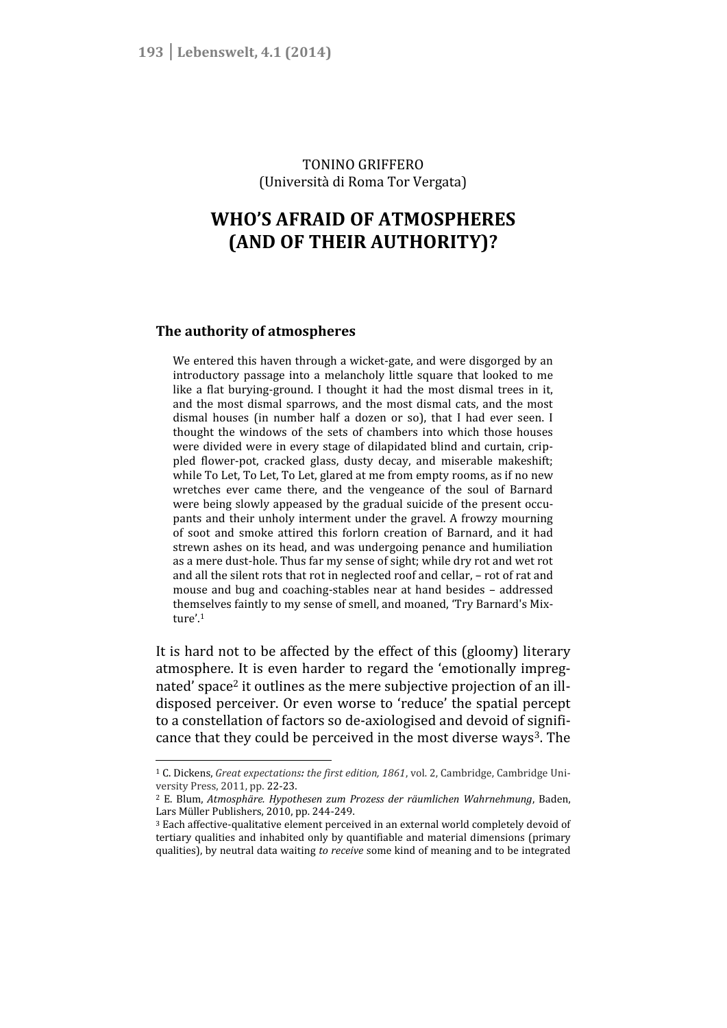## TONINO GRIFFERO (Università di Roma Tor Vergata)

# **WHO'S AFRAID OF ATMOSPHERES (AND OF THEIR AUTHORITY)?**

#### **The authority of atmospheres**

We entered this haven through a wicket-gate, and were disgorged by an introductory passage into a melancholy little square that looked to me like a flat burying-ground. I thought it had the most dismal trees in it, and the most dismal sparrows, and the most dismal cats, and the most dismal houses (in number half a dozen or so), that I had ever seen. I thought the windows of the sets of chambers into which those houses were divided were in every stage of dilapidated blind and curtain, crippled flower-pot, cracked glass, dusty decay, and miserable makeshift; while To Let, To Let, To Let, glared at me from empty rooms, as if no new wretches ever came there, and the vengeance of the soul of Barnard were being slowly appeased by the gradual suicide of the present occupants and their unholy interment under the gravel. A frowzy mourning of soot and smoke attired this forlorn creation of Barnard, and it had strewn ashes on its head, and was undergoing penance and humiliation as a mere dust-hole. Thus far my sense of sight; while dry rot and wet rot and all the silent rots that rot in neglected roof and cellar, – rot of rat and mouse and bug and coaching-stables near at hand besides – addressed themselves faintly to my sense of smell, and moaned, 'Try Barnard's Mixture'.<sup>1</sup>

It is hard not to be affected by the effect of this (gloomy) literary atmosphere. It is even harder to regard the 'emotionally impregnated' space<sup>2</sup> it outlines as the mere subjective projection of an illdisposed perceiver. Or even worse to 'reduce' the spatial percept to a constellation of factors so de-axiologised and devoid of signifi cance that they could be perceived in the most diverse ways<sup>3</sup>. The

<sup>1</sup> C. Dickens, *Great expectations: the first edition, 1861*, vol. 2, Cambridge, Cambridge University Press, 2011, pp. 22-23.

<sup>2</sup> E. Blum, *Atmosphäre. Hypothesen zum Prozess der räumlichen Wahrnehmung*, Baden, Lars Müller Publishers, 2010, pp. 244-249.

<sup>3</sup> Each affective-qualitative element perceived in an external world completely devoid of tertiary qualities and inhabited only by quantifiable and material dimensions (primary qualities), by neutral data waiting *to receive* some kind of meaning and to be integrated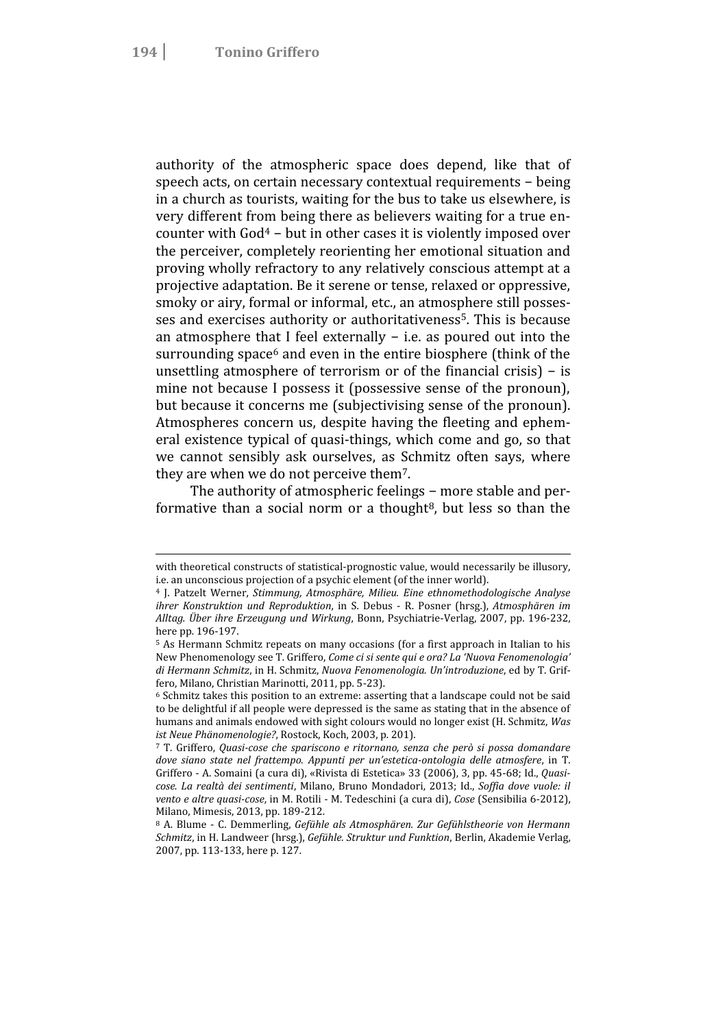authority of the atmospheric space does depend, like that of speech acts, on certain necessary contextual requirements − being in a church as tourists, waiting for the bus to take us elsewhere, is very different from being there as believers waiting for a true encounter with God<sup>4</sup> − but in other cases it is violently imposed over the perceiver, completely reorienting her emotional situation and proving wholly refractory to any relatively conscious attempt at a projective adaptation. Be it serene or tense, relaxed or oppressive, smoky or airy, formal or informal, etc., an atmosphere still posses ses and exercises authority or authoritativeness<sup>5</sup>. This is because an atmosphere that I feel externally − i.e. as poured out into the surrounding space<sup> $6$ </sup> and even in the entire biosphere (think of the unsettling atmosphere of terrorism or of the financial crisis) − is mine not because I possess it (possessive sense of the pronoun), but because it concerns me (subjectivising sense of the pronoun). Atmospheres concern us, despite having the fleeting and ephemeral existence typical of quasi-things, which come and go, so that we cannot sensibly ask ourselves, as Schmitz often says, where they are when we do not perceive them<sup>7</sup>.

The authority of atmospheric feelings – more stable and performative than a social norm or a thought $\beta$ , but less so than the

with theoretical constructs of statistical-prognostic value, would necessarily be illusory, i.e. an unconscious projection of a psychic element (of the inner world).

<sup>4</sup> J. Patzelt Werner, *Stimmung, Atmosphäre, Milieu. Eine ethnomethodologische Analyse ihrer Konstruktion und Reproduktion*, in S. Debus - R. Posner (hrsg.), Atmosphären im *Alltag. Über ihre Erzeugung und Wirkung*, Bonn, Psychiatrie-Verlag, 2007, pp. 196-232, here pp. 196-197.

<sup>5</sup> As Hermann Schmitz repeats on many occasions (for a first approach in Italian to his New Phenomenology see T. Griffero, *Come ci si sente qui e ora? La 'Nuova Fenomenologia' di Hermann Schmitz*, in H. Schmitz, *Nuova Fenomenologia. Un'introduzione*, ed by T. Griffero, Milano, Christian Marinotti, 2011, pp. 5-23).

<sup>6</sup> Schmitz takes this position to an extreme: asserting that a landscape could not be said to be delightful if all people were depressed is the same as stating that in the absence of humans and animals endowed with sight colours would no longer exist (H. Schmitz, *Was ist Neue Phänomenologie?*, Rostock, Koch, 2003, p. 201).

<sup>7</sup> T. Griffero, *Quasi-cose che spariscono e ritornano, senza che però si possa domandare dove siano state nel frattempo. Appunti per un'estetica-ontologia delle atmosfere*, in T. Griffero - A. Somaini (a cura di), «Rivista di Estetica» 33 (2006), 3, pp. 45-68; Id., *Quasi- cose. La realtà dei sentimenti*, Milano, Bruno Mondadori, 2013; Id., *Soffia dove vuole: il vento e altre quasi-cose*, in M. Rotili - M. Tedeschini (a cura di), *Cose* (Sensibilia 6-2012), Milano, Mimesis, 2013, pp. 189-212.

<sup>8</sup> A. Blume - C. Demmerling, *Gefühle als Atmosphären. Zur Gefühlstheorie von Hermann Schmitz*, in H. Landweer (hrsg.), *Gefühle. Struktur und Funktion*, Berlin, Akademie Verlag, 2007, pp. 113-133, here p. 127.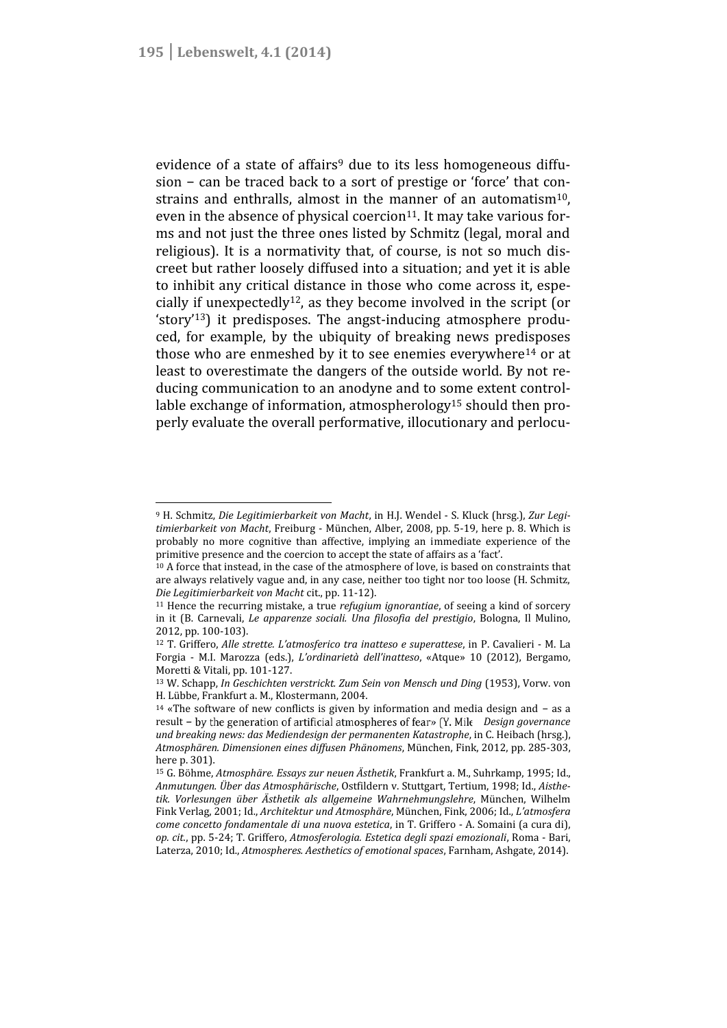evidence of a state of affairs<sup>9</sup> due to its less homogeneous diffusion − can be traced back to a sort of prestige or 'force' that constrains and enthralls, almost in the manner of an automatism<sup>10</sup>, even in the absence of physical coercion<sup>11</sup>. It may take various forms and not just the three ones listed by Schmitz (legal, moral and religious). It is a normativity that, of course, is not so much discreet but rather loosely diffused into a situation; and yet it is able to inhibit any critical distance in those who come across it, especially if unexpectedly<sup>12</sup>, as they become involved in the script (or 'story'<sup>13</sup>) it predisposes. The angst-inducing atmosphere produ ced, for example, by the ubiquity of breaking news predisposes those who are enmeshed by it to see enemies everywhere<sup>14</sup> or at least to overestimate the dangers of the outside world. By not reducing communication to an anodyne and to some extent controllable exchange of information, atmospherology<sup>15</sup> should then properly evaluate the overall performative, illocutionary and perlocu-

<sup>9</sup> H. Schmitz, *Die Legitimierbarkeit von Macht*, in H.J. Wendel - S. Kluck (hrsg.), *Zur Legitimierbarkeit von Macht*, Freiburg - München, Alber, 2008, pp. 5-19, here p. 8. Which is probably no more cognitive than affective, implying an immediate experience of the primitive presence and the coercion to accept the state of affairs as a 'fact'.

<sup>10</sup> A force that instead, in the case of the atmosphere of love, is based on constraints that are always relatively vague and, in any case, neither too tight nor too loose (H. Schmitz, *Die Legitimierbarkeit von Macht* cit., pp. 11-12).

<sup>11</sup> Hence the recurring mistake, a true *refugium ignorantiae*, of seeing a kind of sorcery in it (B. Carnevali, *Le apparenze sociali. Una filosofia del prestigio*, Bologna, Il Mulino, 2012, pp. 100-103).

<sup>12</sup> T. Griffero, *Alle strette. L'atmosferico tra inatteso e superattese*, in P. Cavalieri - M. La Forgia - M.I. Marozza (eds.), *L'ordinarietà dell'inatteso*, «Atque» 10 (2012), Bergamo, Moretti & Vitali, pp. 101-127.

<sup>13</sup> W. Schapp, *In Geschichten verstrickt. Zum Sein von Mensch und Ding* (1953), Vorw. von H. Lübbe, Frankfurt a. M., Klostermann, 2004.

 $14$  «The software of new conflicts is given by information and media design and – as a result - by the generation of artificial atmospheres of fear» (Y. Mile Design governance *und breaking news: das Mediendesign der permanenten Katastrophe*, in C. Heibach (hrsg.), *Atmosphären. Dimensionen eines diffusen Phänomens*, München, Fink, 2012, pp. 285-303, here p. 301).

<sup>15</sup> G. Böhme, *Atmosphäre. Essays zur neuen Ästhetik*, Frankfurt a. M., Suhrkamp, 1995; Id., *Anmutungen. Über das Atmosphärische*, Ostfildern v. Stuttgart, Tertium, 1998; Id., *Aisthe- tik. Vorlesungen über Ästhetik als allgemeine Wahrnehmungslehre*, München, Wilhelm Fink Verlag, 2001; Id., *Architektur und Atmosphäre*, München, Fink, 2006; Id., *L'atmosfera come concetto fondamentale di una nuova estetica*, in T. Griffero - A. Somaini (a cura di), *op. cit.*, pp. 5-24; T. Griffero, *Atmosferologia. Estetica degli spazi emozionali*, Roma - Bari, Laterza, 2010; Id., *Atmospheres. Aesthetics of emotional spaces*, Farnham, Ashgate, 2014).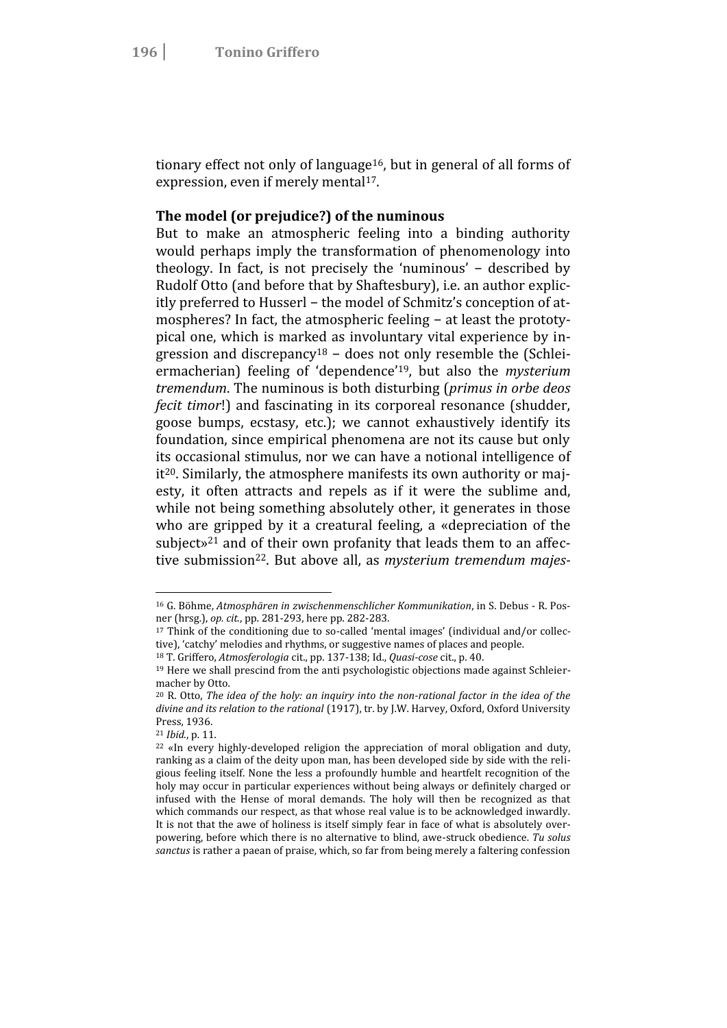tionary effect not only of language<sup>16</sup>, but in general of all forms of expression, even if merely mental<sup>17</sup>.

#### **The model (or prejudice?) of the numinous**

But to make an atmospheric feeling into a binding authority would perhaps imply the transformation of phenomenology into theology. In fact, is not precisely the 'numinous' − described by Rudolf Otto (and before that by Shaftesbury), i.e. an author explicitly preferred to Husserl − the model of Schmitz's conception of at mospheres? In fact, the atmospheric feeling − at least the prototypical one, which is marked as involuntary vital experience by ingression and discrepancy<sup>18</sup> – does not only resemble the (Schleiermacherian) feeling of 'dependence'<sup>19</sup>, but also the *mysterium tremendum*. The numinous is both disturbing (*primus in orbe deos fecit timor*!) and fascinating in its corporeal resonance (shudder, goose bumps, ecstasy, etc.); we cannot exhaustively identify its foundation, since empirical phenomena are not its cause but only its occasional stimulus, nor we can have a notional intelligence of it20. Similarly, the atmosphere manifests its own authority or majesty, it often attracts and repels as if it were the sublime and, while not being something absolutely other, it generates in those who are gripped by it a creatural feeling, a «depreciation of the subject» <sup>21</sup> and of their own profanity that leads them to an affective submission<sup>22</sup>. But above all, as *mysterium tremendum majes-*

<sup>16</sup> G. Böhme, *Atmosphären in zwischenmenschlicher Kommunikation*, in S. Debus - R. Pos ner (hrsg.), *op. cit.*, pp. 281-293, here pp. 282-283.

<sup>&</sup>lt;sup>17</sup> Think of the conditioning due to so-called 'mental images' (individual and/or collective), 'catchy' melodies and rhythms, or suggestive names of places and people.

<sup>18</sup> T. Griffero, *Atmosferologia* cit., pp. 137-138; Id., *Quasi-cose* cit., p. 40.

<sup>&</sup>lt;sup>19</sup> Here we shall prescind from the anti psychologistic objections made against Schleiermacher by Otto.

<sup>20</sup> R. Otto, *The idea of the holy: an inquiry into the non-rational factor in the idea of the divine and its relation to the rational* (1917), tr. by J.W. Harvey, Oxford, Oxford University Press, 1936.

<sup>21</sup> *Ibid.*, p. 11.

<sup>22</sup> «In every highly-developed religion the appreciation of moral obligation and duty, ranking as a claim of the deity upon man, has been developed side by side with the religious feeling itself. None the less a profoundly humble and heartfelt recognition of the holy may occur in particular experiences without being always or definitely charged or infused with the Hense of moral demands. The holy will then be recognized as that which commands our respect, as that whose real value is to be acknowledged inwardly. It is not that the awe of holiness is itself simply fear in face of what is absolutely over powering, before which there is no alternative to blind, awe-struck obedience. *Tu solus sanctus* is rather a paean of praise, which, so far from being merely a faltering confession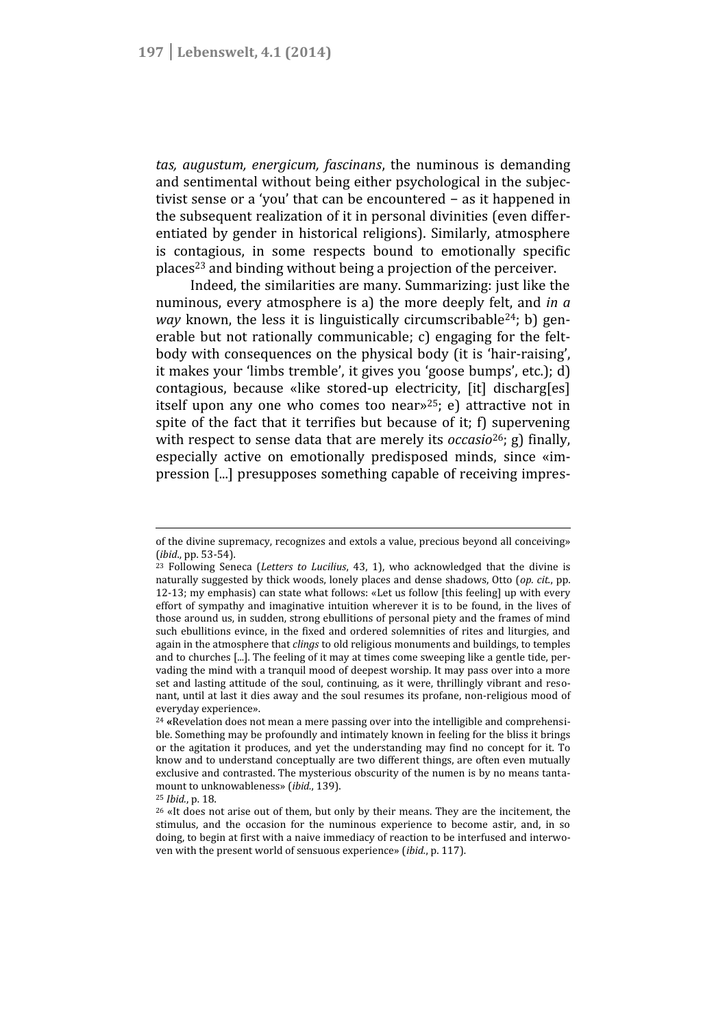*tas, augustum, energicum, fascinans*, the numinous is demanding and sentimental without being either psychological in the subjectivist sense or a 'you' that can be encountered − as it happened in the subsequent realization of it in personal divinities (even differentiated by gender in historical religions). Similarly, atmosphere is contagious, in some respects bound to emotionally specific places<sup>23</sup> and binding without being a projection of the perceiver.

Indeed, the similarities are many. Summarizing: just like the numinous, every atmosphere is a) the more deeply felt, and *in a way* known, the less it is linguistically circumscribable<sup>24</sup>; b) generable but not rationally communicable; c) engaging for the felt body with consequences on the physical body (it is 'hair-raising', it makes your 'limbs tremble', it gives you 'goose bumps', etc.); d) contagious, because «like stored-up electricity, [it] discharg[es] itself upon any one who comes too near» <sup>25</sup>; e) attractive not in spite of the fact that it terrifies but because of it; f) supervening with respect to sense data that are merely its *occasio*<sup>26</sup>; g) finally, especially active on emotionally predisposed minds, since «impression [...] presupposes something capable of receiving impres-

of the divine supremacy, recognizes and extols a value, precious beyond all conceiving» (*ibid*., pp. 53-54).

<sup>23</sup> Following Seneca (*Letters to Lucilius*, 43, 1), who acknowledged that the divine is naturally suggested by thick woods, lonely places and dense shadows, Otto (*op. cit.*, pp. 12-13; my emphasis) can state what follows: «Let us follow [this feeling] up with every effort of sympathy and imaginative intuition wherever it is to be found, in the lives of those around us, in sudden, strong ebullitions of personal piety and the frames of mind such ebullitions evince, in the fixed and ordered solemnities of rites and liturgies, and again in the atmosphere that *clings* to old religious monuments and buildings, to temples and to churches [...]. The feeling of it may at times come sweeping like a gentle tide, per vading the mind with a tranquil mood of deepest worship. It may pass over into a more set and lasting attitude of the soul, continuing, as it were, thrillingly vibrant and reso nant, until at last it dies away and the soul resumes its profane, non-religious mood of everyday experience».

<sup>24</sup> **«**Revelation does not mean a mere passing over into the intelligible and comprehensible. Something may be profoundly and intimately known in feeling for the bliss it brings or the agitation it produces, and yet the understanding may find no concept for it. To know and to understand conceptually are two different things, are often even mutually exclusive and contrasted. The mysterious obscurity of the numen is by no means tanta mount to unknowableness» (*ibid.*, 139).

<sup>25</sup> *Ibid.*, p. 18.

<sup>&</sup>lt;sup>26</sup> «It does not arise out of them, but only by their means. They are the incitement, the stimulus, and the occasion for the numinous experience to become astir, and, in so doing, to begin at first with a naive immediacy of reaction to be interfused and interwo ven with the present world of sensuous experience» (*ibid.*, p. 117).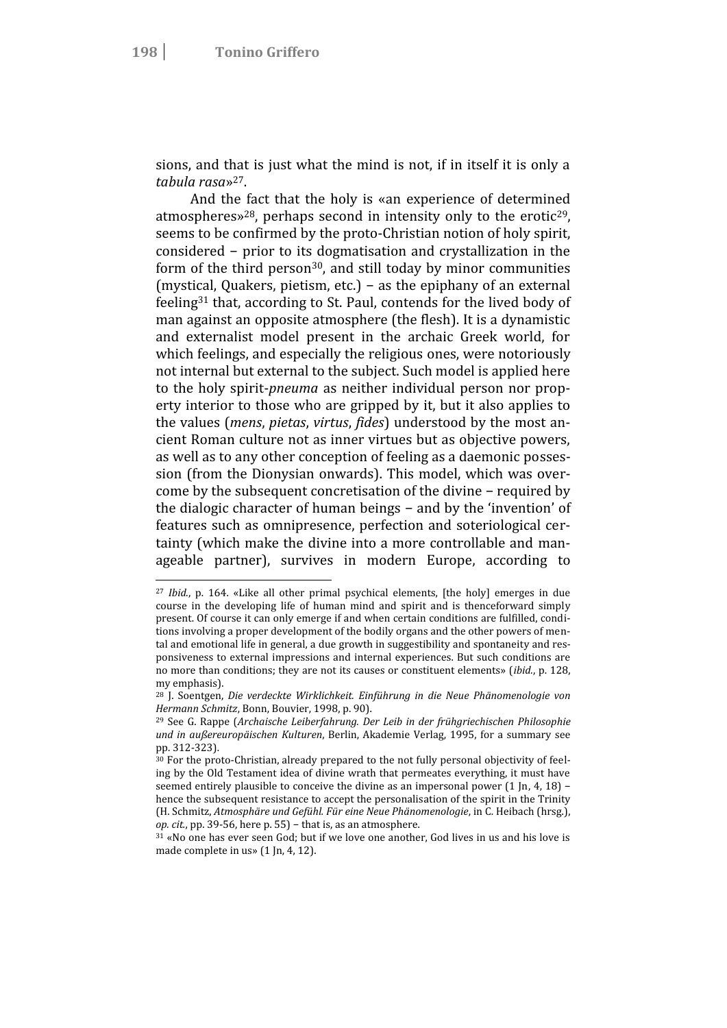sions, and that is just what the mind is not, if in itself it is only a *tabula rasa*» <sup>27</sup>.

And the fact that the holy is «an experience of determined atmospheres»<sup>28</sup>, perhaps second in intensity only to the erotic<sup>29</sup>, seems to be confirmed by the proto-Christian notion of holy spirit, considered − prior to its dogmatisation and crystallization in the form of the third person<sup>30</sup>, and still today by minor communities (mystical, Quakers, pietism, etc.) − as the epiphany of an external feeling<sup>31</sup> that, according to St. Paul, contends for the lived body of man against an opposite atmosphere (the flesh). It is a dynamistic and externalist model present in the archaic Greek world, for which feelings, and especially the religious ones, were notoriously not internal but external to the subject. Such model is applied here to the holy spirit-*pneuma* as neither individual person nor property interior to those who are gripped by it, but it also applies to the values (*mens*, *pietas*, *virtus*, *fides*) understood by the most ancient Roman culture not as inner virtues but as objective powers, as well as to any other conception of feeling as a daemonic posses sion (from the Dionysian onwards). This model, which was overcome by the subsequent concretisation of the divine − required by the dialogic character of human beings – and by the 'invention' of features such as omnipresence, perfection and soteriological certainty (which make the divine into a more controllable and manageable partner), survives in modern Europe, according to

<sup>27</sup> *Ibid.*, p. 164. «Like all other primal psychical elements, [the holy] emerges in due course in the developing life of human mind and spirit and is thenceforward simply present. Of course it can only emerge if and when certain conditions are fulfilled, conditions involving a proper development of the bodily organs and the other powers of men tal and emotional life in general, a due growth in suggestibility and spontaneity and res ponsiveness to external impressions and internal experiences. But such conditions are no more than conditions; they are not its causes or constituent elements» (*ibid.*, p. 128, my emphasis).

<sup>28</sup> J. Soentgen, *Die verdeckte Wirklichkeit. Einführung in die Neue Phänomenologie von Hermann Schmitz*, Bonn, Bouvier, 1998, p. 90).

<sup>29</sup> See G. Rappe (*Archaische Leiberfahrung. Der Leib in der frühgriechischen Philosophie und in außereuropäischen Kulturen*, Berlin, Akademie Verlag, 1995, for a summary see pp. 312-323).

<sup>30</sup> For the proto-Christian, already prepared to the not fully personal objectivity of feeling by the Old Testament idea of divine wrath that permeates everything, it must have seemed entirely plausible to conceive the divine as an impersonal power (1 Jn, 4, 18) − hence the subsequent resistance to accept the personalisation of the spirit in the Trinity (H. Schmitz, *Atmosphäre und Gefühl. Für eine Neue Phänomenologie*, in C. Heibach (hrsg.), *op. cit.*, pp. 39-56, here p. 55) – that is, as an atmosphere.

 $31$  «No one has ever seen God; but if we love one another, God lives in us and his love is made complete in us» (1 Jn, 4, 12).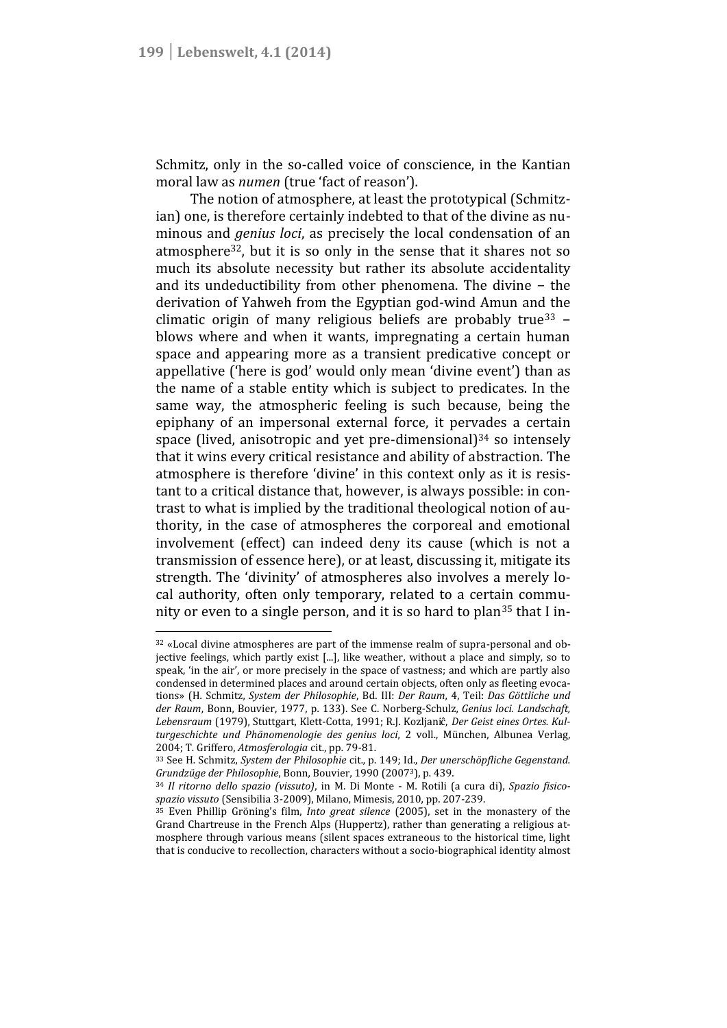Schmitz, only in the so-called voice of conscience, in the Kantian moral law as *numen* (true 'fact of reason').

The notion of atmosphere, at least the prototypical (Schmitzian) one, is therefore certainly indebted to that of the divine as nu minous and *genius loci*, as precisely the local condensation of an atmosphere<sup>32</sup>, but it is so only in the sense that it shares not so much its absolute necessity but rather its absolute accidentality and its undeductibility from other phenomena. The divine − the derivation of Yahweh from the Egyptian god-wind Amun and the climatic origin of many religious beliefs are probably true<sup>33</sup> − blows where and when it wants, impregnating a certain human space and appearing more as a transient predicative concept or appellative ('here is god' would only mean 'divine event') than as the name of a stable entity which is subject to predicates. In the same way, the atmospheric feeling is such because, being the epiphany of an impersonal external force, it pervades a certain space (lived, anisotropic and yet pre-dimensional) $34$  so intensely that it wins every critical resistance and ability of abstraction. The atmosphere is therefore 'divine' in this context only as it is resistant to a critical distance that, however, is always possible: in contrast to what is implied by the traditional theological notion of authority, in the case of atmospheres the corporeal and emotional involvement (effect) can indeed deny its cause (which is not a transmission of essence here), or at least, discussing it, mitigate its strength. The 'divinity' of atmospheres also involves a merely local authority, often only temporary, related to a certain community or even to a single person, and it is so hard to plan<sup>35</sup> that I in-

<sup>32</sup> «Local divine atmospheres are part of the immense realm of supra-personal and objective feelings, which partly exist [...], like weather, without a place and simply, so to speak, 'in the air', or more precisely in the space of vastness; and which are partly also condensed in determined places and around certain objects, often only as fleeting evoca tions» (H. Schmitz, *System der Philosophie*, Bd. III: *Der Raum*, 4, Teil: *Das Göttliche und der Raum*, Bonn, Bouvier, 1977, p. 133). See C. Norberg-Schulz, *Genius loci. Landschaft, Lebensraum* (1979), Stuttgart, Klett-Cotta, 1991; R.J. Kozljaniĉ, *Der Geist eines Ortes. Kulturgeschichte und Phänomenologie des genius loci*, 2 voll., München, Albunea Verlag, 2004; T. Griffero, *Atmosferologia* cit., pp. 79-81.

<sup>33</sup> See H. Schmitz, *System der Philosophie* cit., p. 149; Id., *Der unerschöpfliche Gegenstand. Grundzüge der Philosophie*, Bonn, Bouvier, 1990 (2007<sup>3</sup>), p. 439.

<sup>34</sup> *Il ritorno dello spazio (vissuto)*, in M. Di Monte - M. Rotili (a cura di), *Spazio fisico- spazio vissuto* (Sensibilia 3-2009), Milano, Mimesis, 2010, pp. 207-239.

<sup>35</sup> Even Phillip Gröning's film, *Into great silence* (2005), set in the monastery of the Grand Chartreuse in the French Alps (Huppertz), rather than generating a religious atmosphere through various means (silent spaces extraneous to the historical time, light that is conducive to recollection, characters without a socio-biographical identity almost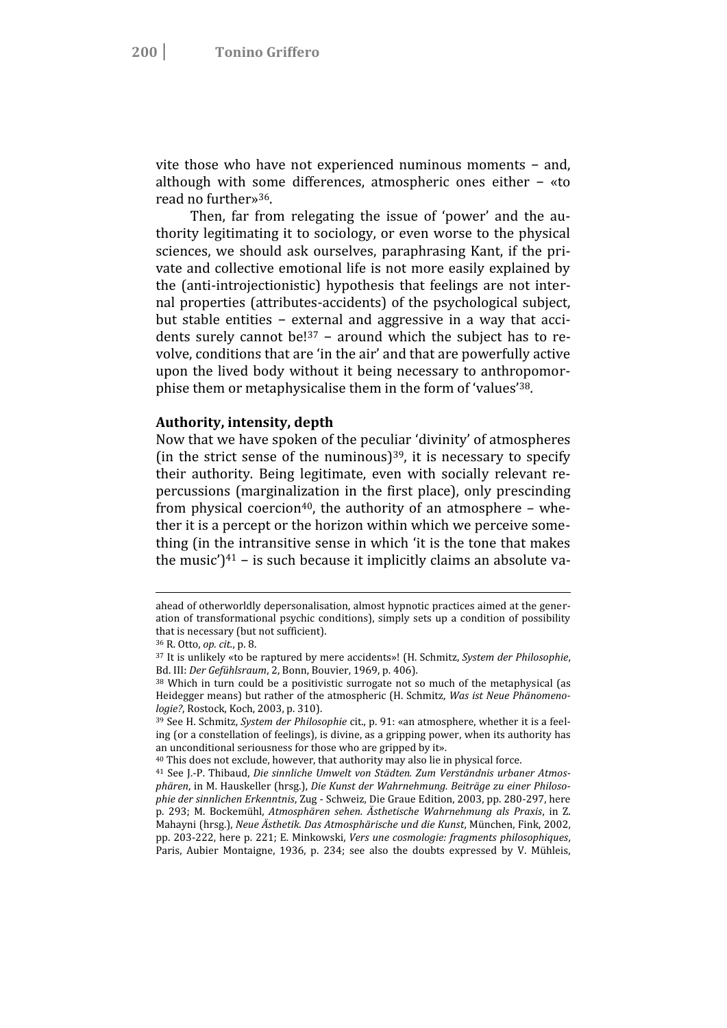vite those who have not experienced numinous moments − and, although with some differences, atmospheric ones either − «to read no further» <sup>36</sup>.

Then, far from relegating the issue of 'power' and the authority legitimating it to sociology, or even worse to the physical sciences, we should ask ourselves, paraphrasing Kant, if the private and collective emotional life is not more easily explained by the (anti-introjectionistic) hypothesis that feelings are not internal properties (attributes-accidents) of the psychological subject, but stable entities − external and aggressive in a way that accidents surely cannot be!<sup>37</sup> − around which the subject has to revolve, conditions that are 'in the air' and that are powerfully active upon the lived body without it being necessary to anthropomorphise them or metaphysicalise them in the form of 'values'<sup>38</sup>.

### **Authority, intensity, depth**

Now that we have spoken of the peculiar 'divinity' of atmospheres (in the strict sense of the numinous)<sup>39</sup>, it is necessary to specify their authority. Being legitimate, even with socially relevant repercussions (marginalization in the first place), only prescinding from physical coercion<sup>40</sup>, the authority of an atmosphere  $-$  whether it is a percept or the horizon within which we perceive some thing (in the intransitive sense in which 'it is the tone that makes the music') <sup>41</sup> − is such because it implicitly claims an absolute va-

ahead of otherworldly depersonalisation, almost hypnotic practices aimed at the gener ation of transformational psychic conditions), simply sets up a condition of possibility that is necessary (but not sufficient).

<sup>36</sup> R. Otto, *op. cit.*, p. 8.

<sup>37</sup> It is unlikely «to be raptured by mere accidents»! (H. Schmitz, *System der Philosophie*, Bd. III: *Der Gefühlsraum*, 2, Bonn, Bouvier, 1969, p. 406).

<sup>&</sup>lt;sup>38</sup> Which in turn could be a positivistic surrogate not so much of the metaphysical (as Heidegger means) but rather of the atmospheric (H. Schmitz, *Was ist Neue Phänomenologie?*, Rostock, Koch, 2003, p. 310).

<sup>39</sup> See H. Schmitz, *System der Philosophie* cit., p. 91: «an atmosphere, whether it is a feeling (or a constellation of feelings), is divine, as a gripping power, when its authority has an unconditional seriousness for those who are gripped by it».

 $40$  This does not exclude, however, that authority may also lie in physical force.<br> $41$  See J.-P. Thibaud, *Die sinnliche Umwelt von Städten. Zum Verständnis urbaner Atmos*-

phären, in M. Hauskeller (hrsg.), Die Kunst der Wahrnehmung. Beiträge zu einer Philoso-<br>phie der sinnlichen Erkenntnis, Zug - Schweiz, Die Graue Edition, 2003, pp. 280-297, here p. 293; M. Bockemühl, *Atmosphären sehen. Ästhetische Wahrnehmung als Praxis*, in Z. Mahayni (hrsg.), *Neue Ästhetik. Das Atmosphärische und die Kunst*, München, Fink, 2002, pp. 203-222, here p. 221; E. Minkowski, *Vers une cosmologie: fragments philosophiques*, Paris, Aubier Montaigne, 1936, p. 234; see also the doubts expressed by V. Mühleis,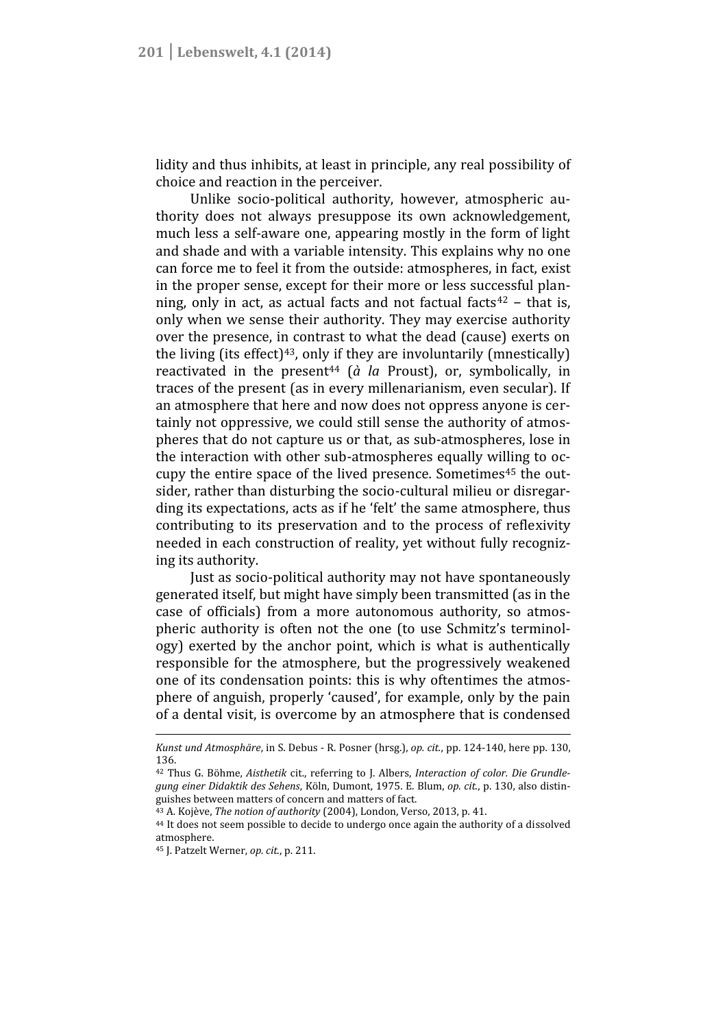lidity and thus inhibits, at least in principle, any real possibility of choice and reaction in the perceiver.

Unlike socio-political authority, however, atmospheric authority does not always presuppose its own acknowledgement, much less a self-aware one, appearing mostly in the form of light and shade and with a variable intensity. This explains why no one can force me to feel it from the outside: atmospheres, in fact, exist in the proper sense, except for their more or less successful planning, only in act, as actual facts and not factual facts<sup>42</sup> – that is, only when we sense their authority. They may exercise authority over the presence, in contrast to what the dead (cause) exerts on the living (its effect)<sup>43</sup>, only if they are involuntarily (mnestically) reactivated in the present<sup>44</sup> (*à la* Proust), or, symbolically, in traces of the present (as in every millenarianism, even secular). If an atmosphere that here and now does not oppress anyone is certainly not oppressive, we could still sense the authority of atmospheres that do not capture us or that, as sub-atmospheres, lose in the interaction with other sub-atmospheres equally willing to occupy the entire space of the lived presence. Sometimes<sup>45</sup> the outsider, rather than disturbing the socio-cultural milieu or disregar ding its expectations, acts as if he 'felt' the same atmosphere, thus contributing to its preservation and to the process of reflexivity needed in each construction of reality, yet without fully recognizing its authority.

Just as socio-political authority may not have spontaneously generated itself, but might have simply been transmitted (as in the case of officials) from a more autonomous authority, so atmospheric authority is often not the one (to use Schmitz's terminology) exerted by the anchor point, which is what is authentically responsible for the atmosphere, but the progressively weakened one of its condensation points: this is why oftentimes the atmosphere of anguish, properly 'caused', for example, only by the pain of a dental visit, is overcome by an atmosphere that is condensed

*Kunst und Atmosphäre*, in S. Debus - R.Posner (hrsg.), *op. cit.*, pp. 124-140, here pp. 130, 136.

<sup>42</sup> Thus G. Böhme, *Aisthetik* cit., referring to J. Albers, *Interaction of color. Die Grundle- gung einer Didaktik des Sehens*, Köln, Dumont, 1975. E. Blum, *op. cit.*, p. 130, also distin guishes between matters of concern and matters of fact.

<sup>43</sup> A. Kojève, *The notion of authority* (2004), London, Verso, 2013, p. 41.

<sup>44</sup> It does not seem possible to decide to undergo once again the authority of a dissolved atmosphere.

<sup>45</sup> J. Patzelt Werner, *op. cit.*, p. 211.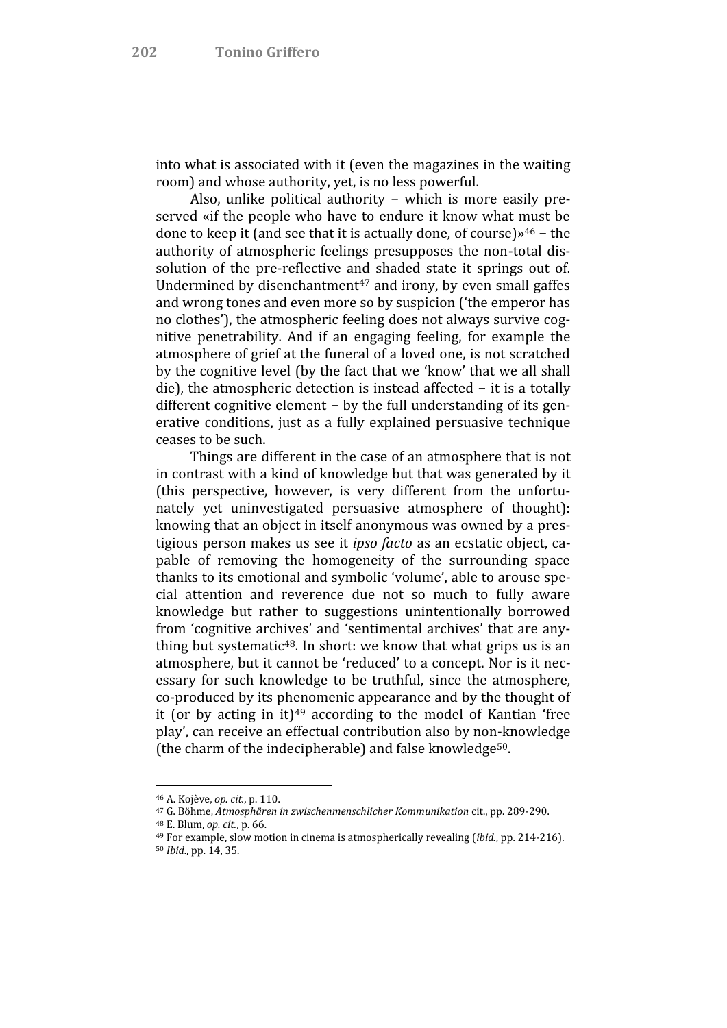into what is associated with it (even the magazines in the waiting room) and whose authority, yet, is no less powerful.

Also, unlike political authority − which is more easily preserved «if the people who have to endure it know what must be done to keep it (and see that it is actually done, of course)»<sup>46</sup> – the authority of atmospheric feelings presupposes the non-total dissolution of the pre-reflective and shaded state it springs out of. Undermined by disenchantment $47$  and irony, by even small gaffes and wrong tones and even more so by suspicion ('the emperor has no clothes'), the atmospheric feeling does not always survive cognitive penetrability. And if an engaging feeling, for example the atmosphere of grief at the funeral of a loved one, is not scratched by the cognitive level (by the fact that we 'know' that we all shall die), the atmospheric detection is instead affected − it is a totally different cognitive element − by the full understanding of its generative conditions, just as a fully explained persuasive technique ceases to be such.

Things are different in the case of an atmosphere that is not in contrast with a kind of knowledge but that was generated by it (this perspective, however, is very different from the unfortunately yet uninvestigated persuasive atmosphere of thought): knowing that an object in itself anonymous was owned by a prestigious person makes us see it *ipso facto* as an ecstatic object, capable of removing the homogeneity of the surrounding space thanks to its emotional and symbolic 'volume', able to arouse special attention and reverence due not so much to fully aware knowledge but rather to suggestions unintentionally borrowed from 'cognitive archives' and 'sentimental archives' that are anything but systematic<sup>48</sup>. In short: we know that what grips us is an atmosphere, but it cannot be 'reduced' to a concept. Nor is it necessary for such knowledge to be truthful, since the atmosphere, co-produced by its phenomenic appearance and by the thought of it (or by acting in it) $49$  according to the model of Kantian 'free play', can receive an effectual contribution also by non-knowledge (the charm of the indecipherable) and false knowledge<sup>50</sup>.

<sup>46</sup> A. Kojève, *op. cit.*, p. 110.

<sup>47</sup> G. Böhme, *Atmosphären in zwischenmenschlicher Kommunikation* cit., pp. 289-290.

<sup>48</sup> E. Blum, *op. cit.*, p. 66.

<sup>49</sup> For example, slow motion in cinema is atmospherically revealing (*ibid.*, pp. 214-216). <sup>50</sup> *Ibid*., pp. 14, 35.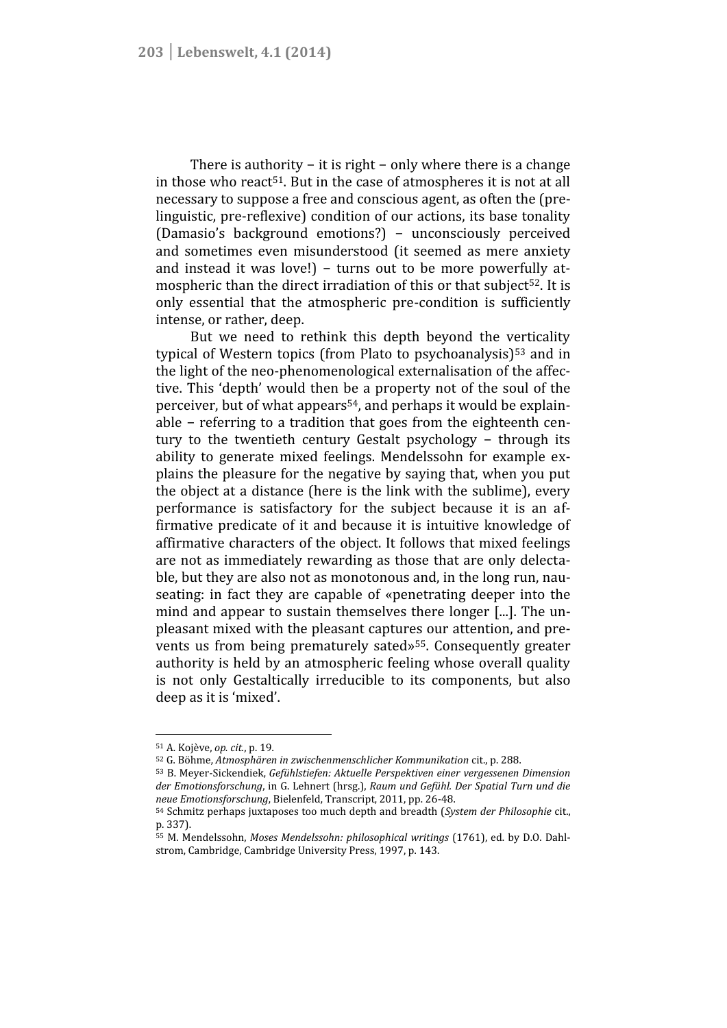There is authority  $-$  it is right  $-$  only where there is a change in those who react<sup>51</sup>. But in the case of atmospheres it is not at all necessary to suppose a free and conscious agent, as often the (prelinguistic, pre-reflexive) condition of our actions, its base tonality (Damasio's background emotions?) − unconsciously perceived and sometimes even misunderstood (it seemed as mere anxiety and instead it was love!) – turns out to be more powerfully atmospheric than the direct irradiation of this or that subject<sup>52</sup>. It is only essential that the atmospheric pre-condition is sufficiently intense, or rather, deep.

But we need to rethink this depth beyond the verticality typical of Western topics (from Plato to psychoanalysis)<sup>53</sup> and in the light of the neo-phenomenological externalisation of the affective. This 'depth' would then be a property not of the soul of the perceiver, but of what appears<sup>54</sup>, and perhaps it would be explainable − referring to a tradition that goes from the eighteenth century to the twentieth century Gestalt psychology − through its ability to generate mixed feelings. Mendelssohn for example explains the pleasure for the negative by saying that, when you put the object at a distance (here is the link with the sublime), every performance is satisfactory for the subject because it is an affirmative predicate of it and because it is intuitive knowledge of affirmative characters of the object. It follows that mixed feelings are not as immediately rewarding as those that are only delectable, but they are also not as monotonous and, in the long run, nauseating: in fact they are capable of «penetrating deeper into the mind and appear to sustain themselves there longer [...]. The unpleasant mixed with the pleasant captures our attention, and prevents us from being prematurely sated» <sup>55</sup>. Consequently greater authority is held by an atmospheric feeling whose overall quality is not only Gestaltically irreducible to its components, but also deep as it is 'mixed'.

<sup>51</sup> A. Kojève, *op. cit.*, p. 19.

<sup>52</sup> G. Böhme, *Atmosphären in zwischenmenschlicher Kommunikation* cit., p. 288.

<sup>53</sup> B. Meyer-Sickendiek, *Gefühlstiefen: Aktuelle Perspektiven einer vergessenen Dimension der Emotionsforschung*, in G. Lehnert (hrsg.), *Raum und Gefühl. Der Spatial Turn und die neue Emotionsforschung*, Bielenfeld, Transcript, 2011, pp. 26-48.

<sup>54</sup> Schmitz perhaps juxtaposes too much depth and breadth (*System der Philosophie* cit., p. 337).

<sup>55</sup> M. Mendelssohn, *Moses Mendelssohn: philosophical writings* (1761), ed. by D.O. Dahlstrom, Cambridge, Cambridge University Press, 1997, p. 143.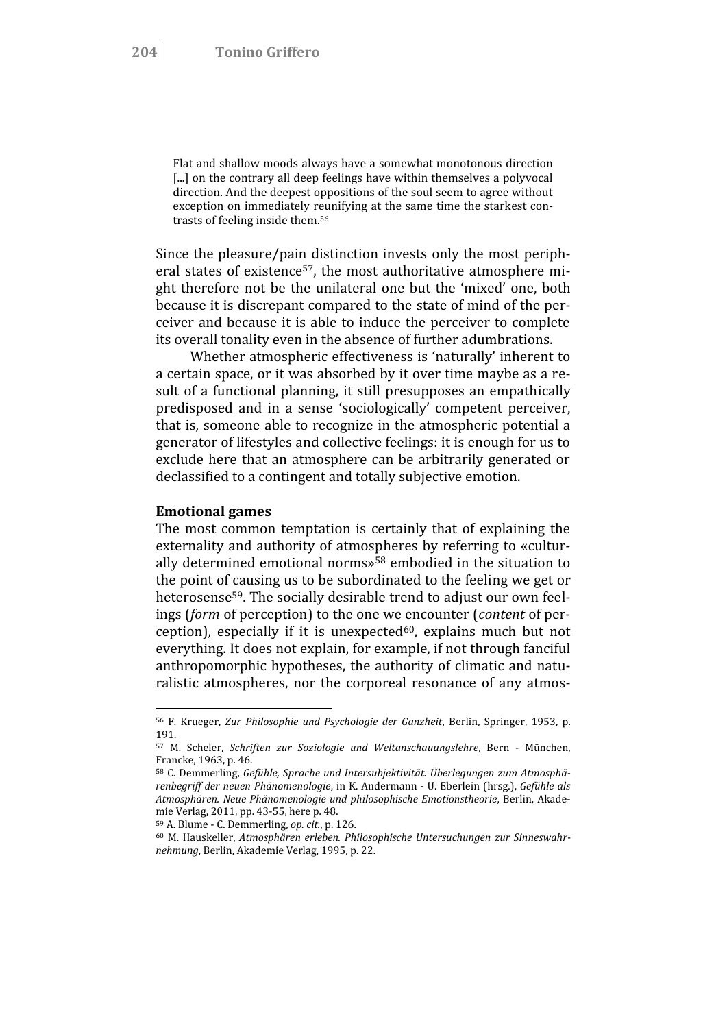Flat and shallow moods always have a somewhat monotonous direction [...] on the contrary all deep feelings have within themselves a polyvocal direction. And the deepest oppositions of the soul seem to agree without exception on immediately reunifying at the same time the starkest contrasts of feeling inside them.<sup>56</sup>

Since the pleasure/pain distinction invests only the most peripheral states of existence<sup>57</sup>, the most authoritative atmosphere might therefore not be the unilateral one but the 'mixed' one, both because it is discrepant compared to the state of mind of the perceiver and because it is able to induce the perceiver to complete its overall tonality even in the absence of further adumbrations.

Whether atmospheric effectiveness is 'naturally' inherent to a certain space, or it was absorbed by it over time maybe as a result of a functional planning, it still presupposes an empathically predisposed and in a sense 'sociologically' competent perceiver, that is, someone able to recognize in the atmospheric potential a generator of lifestyles and collective feelings: it is enough for us to exclude here that an atmosphere can be arbitrarily generated or declassified to a contingent and totally subjective emotion.

#### **Emotional games**

The most common temptation is certainly that of explaining the externality and authority of atmospheres by referring to «culturally determined emotional norms»<sup>58</sup> embodied in the situation to the point of causing us to be subordinated to the feeling we get or heterosense59. The socially desirable trend to adjust our own feelings (*form* of perception) to the one we encounter (*content* of perception), especially if it is unexpected $60$ , explains much but not everything. It does not explain, for example, if not through fanciful anthropomorphic hypotheses, the authority of climatic and naturalistic atmospheres, nor the corporeal resonance of any atmos-

<sup>59</sup> A. Blume - C. Demmerling, *op. cit.*, p. 126.

<sup>56</sup> F. Krueger, *Zur Philosophie und Psychologie der Ganzheit*, Berlin, Springer, 1953, p. 191.

<sup>57</sup> M. Scheler, *Schriften zur Soziologie und Weltanschauungslehre*, Bern - München, Francke, 1963, p. 46.

<sup>58</sup> C. Demmerling, *Gefühle, Sprache und Intersubjektivität. Überlegungen zum Atmosphärenbegriff der neuen Phänomenologie*, in K. Andermann - U. Eberlein (hrsg.), *Gefühle als Atmosphären. Neue Phänomenologie und philosophische Emotionstheorie*, Berlin, Akade mie Verlag, 2011, pp. 43-55, here p. 48.

<sup>60</sup> M. Hauskeller, *Atmosphären erleben. Philosophische Untersuchungen zur Sinneswahr- nehmung*, Berlin, Akademie Verlag, 1995, p. 22.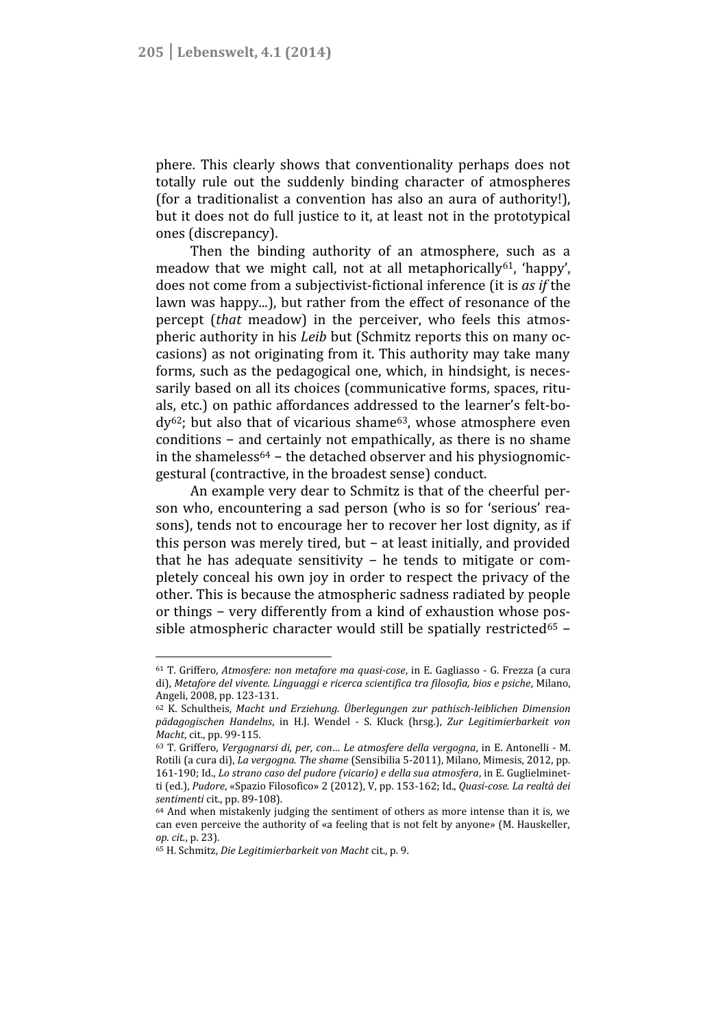phere. This clearly shows that conventionality perhaps does not totally rule out the suddenly binding character of atmospheres (for a traditionalist a convention has also an aura of authority!), but it does not do full justice to it, at least not in the prototypical ones (discrepancy).

Then the binding authority of an atmosphere, such as a meadow that we might call, not at all metaphorically<sup>61</sup>, 'happy', does not come from a subjectivist-fictional inference (it is *as if* the lawn was happy...), but rather from the effect of resonance of the percept (*that* meadow) in the perceiver, who feels this atmospheric authority in his *Leib* but (Schmitz reports this on many occasions) as not originating from it. This authority may take many forms, such as the pedagogical one, which, in hindsight, is necessarily based on all its choices (communicative forms, spaces, rituals, etc.) on pathic affordances addressed to the learner's felt-bo dy<sup>62</sup>; but also that of vicarious shame<sup>63</sup>, whose atmosphere even conditions − and certainly not empathically, as there is no shame in the shameless<sup>64</sup> – the detached observer and his physiognomicgestural (contractive, in the broadest sense) conduct.

An example very dear to Schmitz is that of the cheerful person who, encountering a sad person (who is so for 'serious' reasons), tends not to encourage her to recover her lost dignity, as if this person was merely tired, but − at least initially, and provided that he has adequate sensitivity − he tends to mitigate or completely conceal his own joy in order to respect the privacy of the other. This is because the atmospheric sadness radiated by people or things − very differently from a kind of exhaustion whose possible atmospheric character would still be spatially restricted<sup>65</sup> −

<sup>61</sup> T. Griffero, *Atmosfere: non metafore ma quasi-cose*, in E. Gagliasso - G. Frezza (a cura di), *Metafore del vivente. Linguaggi e ricerca scientifica tra filosofia, bios e psiche*, Milano, Angeli, 2008, pp. 123-131.

<sup>62</sup> K. Schultheis, *Macht und Erziehung. Überlegungen zur pathisch-leiblichen Dimension pädagogischen Handelns*, in H.J. Wendel - S. Kluck (hrsg.), *Zur Legitimierbarkeit von Macht*, cit., pp. 99-115.

<sup>63</sup> T. Griffero, *Vergognarsi di, per, con… Le atmosfere della vergogna*, in E. Antonelli - M. Rotili (a cura di), *La vergogna. The shame* (Sensibilia 5-2011), Milano, Mimesis, 2012, pp. 161-190; Id., *Lo strano caso del pudore (vicario) e della sua atmosfera*, in E. Guglielminetti (ed.), *Pudore*, «Spazio Filosofico» 2 (2012), V, pp. 153-162; Id., *Quasi-cose. La realtà dei sentimenti* cit., pp. 89-108).

<sup>64</sup> And when mistakenly judging the sentiment of others as more intense than it is, we can even perceive the authority of «a feeling that is not felt by anyone» (M. Hauskeller, *op. cit.*, p. 23).

<sup>65</sup> H. Schmitz, *Die Legitimierbarkeit von Macht* cit., p. 9.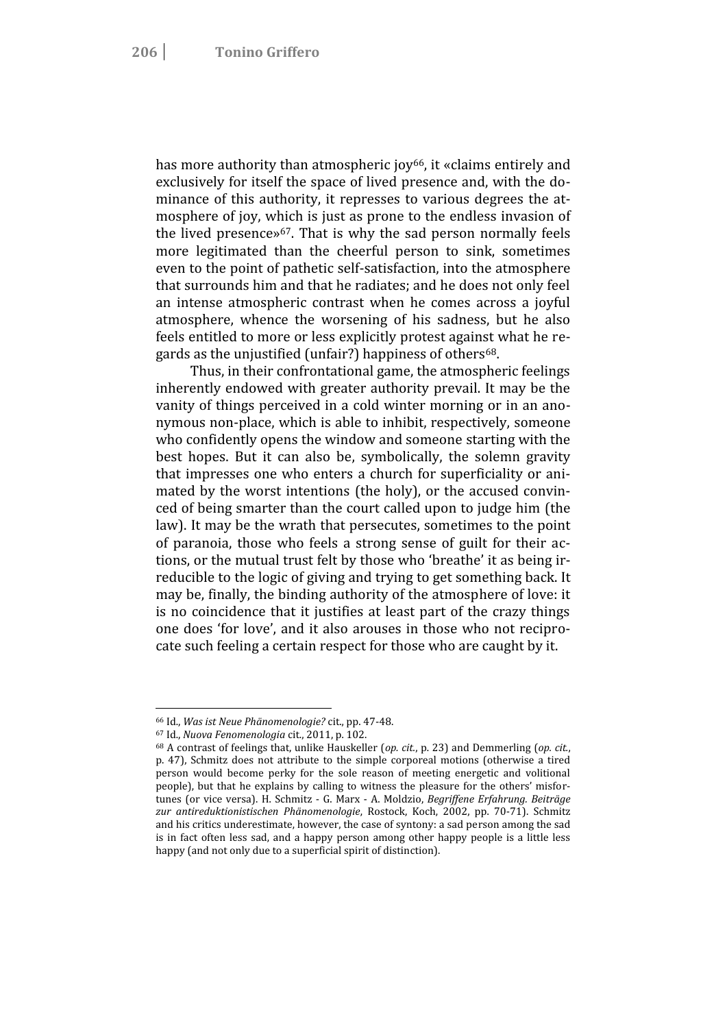has more authority than atmospheric joy<sup>66</sup>, it «claims entirely and exclusively for itself the space of lived presence and, with the do minance of this authority, it represses to various degrees the atmosphere of joy, which is just as prone to the endless invasion of the lived presence»<sup>67</sup>. That is why the sad person normally feels more legitimated than the cheerful person to sink, sometimes even to the point of pathetic self-satisfaction, into the atmosphere that surrounds him and that he radiates; and he does not only feel an intense atmospheric contrast when he comes across a joyful atmosphere, whence the worsening of his sadness, but he also feels entitled to more or less explicitly protest against what he regards as the unjustified (unfair?) happiness of others<sup>68</sup>.

Thus, in their confrontational game, the atmospheric feelings inherently endowed with greater authority prevail. It may be the vanity of things perceived in a cold winter morning or in an ano nymous non-place, which is able to inhibit, respectively, someone who confidently opens the window and someone starting with the best hopes. But it can also be, symbolically, the solemn gravity that impresses one who enters a church for superficiality or animated by the worst intentions (the holy), or the accused convin ced of being smarter than the court called upon to judge him (the law). It may be the wrath that persecutes, sometimes to the point of paranoia, those who feels a strong sense of guilt for their actions, or the mutual trust felt by those who 'breathe' it as being ir reducible to the logic of giving and trying to get something back. It may be, finally, the binding authority of the atmosphere of love: it is no coincidence that it justifies at least part of the crazy things one does 'for love', and it also arouses in those who not reciprocate such feeling a certain respect for those who are caught by it.

<sup>66</sup> Id., *Was ist Neue Phänomenologie?* cit., pp. 47-48.

<sup>67</sup> Id., *Nuova Fenomenologia* cit., 2011, p. 102.

<sup>68</sup> A contrast of feelings that, unlike Hauskeller (*op. cit.*, p. 23) and Demmerling (*op. cit.*, p. 47), Schmitz does not attribute to the simple corporeal motions (otherwise a tired person would become perky for the sole reason of meeting energetic and volitional people), but that he explains by calling to witness the pleasure for the others' misfor tunes (or vice versa). H. Schmitz - G.Marx - A. Moldzio, *Begriffene Erfahrung. Beiträge zur antireduktionistischen Phänomenologie*, Rostock, Koch, 2002, pp. 70-71). Schmitz and his critics underestimate, however, the case of syntony: a sad person among the sad is in fact often less sad, and a happy person among other happy people is a little less happy (and not only due to a superficial spirit of distinction).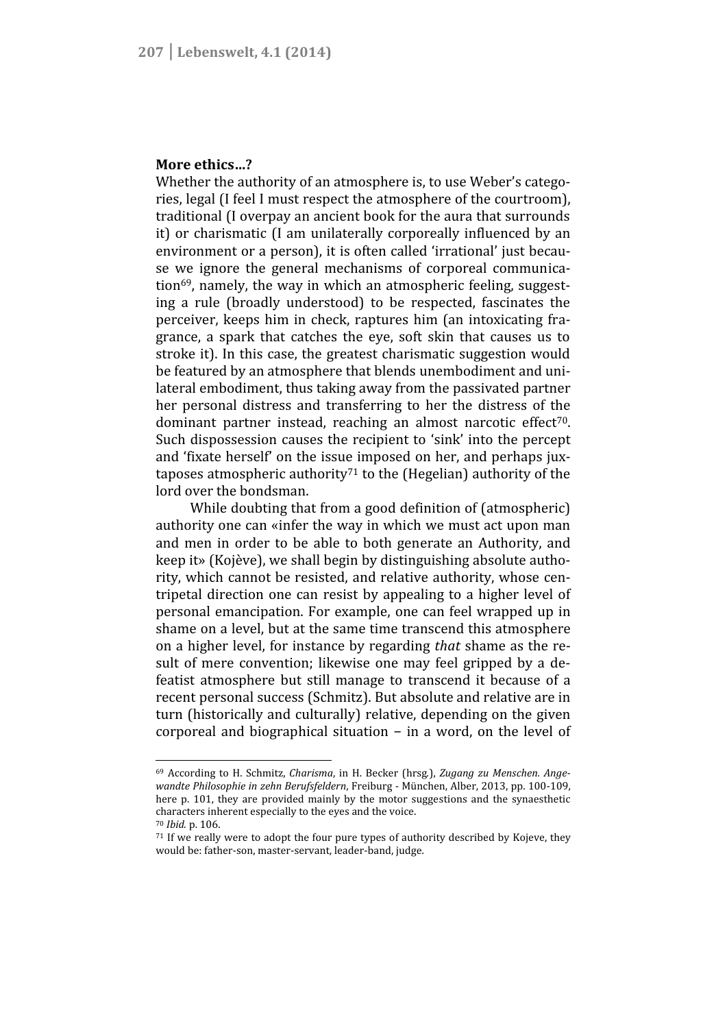#### **More ethics…?**

Whether the authority of an atmosphere is, to use Weber's categories, legal (I feel I must respect the atmosphere of the courtroom), traditional (I overpay an ancient book for the aura that surrounds it) or charismatic (I am unilaterally corporeally influenced by an environment or a person), it is often called 'irrational' just becau se we ignore the general mechanisms of corporeal communica tion<sup>69</sup>, namely, the way in which an atmospheric feeling, suggesting a rule (broadly understood) to be respected, fascinates the perceiver, keeps him in check, raptures him (an intoxicating fragrance, a spark that catches the eye, soft skin that causes us to stroke it). In this case, the greatest charismatic suggestion would be featured by an atmosphere that blends unembodiment and unilateral embodiment, thus taking away from the passivated partner her personal distress and transferring to her the distress of the dominant partner instead, reaching an almost narcotic effect<sup>70</sup>. Such dispossession causes the recipient to 'sink' into the percept and 'fixate herself' on the issue imposed on her, and perhaps juxtaposes atmospheric authority<sup>71</sup> to the (Hegelian) authority of the lord over the bondsman.

While doubting that from a good definition of (atmospheric) authority one can «infer the way in which we must act upon man and men in order to be able to both generate an Authority, and keep it» (Kojève), we shall begin by distinguishing absolute autho rity, which cannot be resisted, and relative authority, whose centripetal direction one can resist by appealing to a higher level of personal emancipation. For example, one can feel wrapped up in shame on a level, but at the same time transcend this atmosphere on a higher level, for instance by regarding *that* shame as the result of mere convention; likewise one may feel gripped by a defeatist atmosphere but still manage to transcend it because of a recent personal success (Schmitz). But absolute and relative are in turn (historically and culturally) relative, depending on the given corporeal and biographical situation − in a word, on the level of

<sup>69</sup> According to H. Schmitz, *Charisma*, in H. Becker (hrsg*.*), *Zugang zu Menschen. Ange- wandte Philosophie in zehn Berufsfeldern*, Freiburg - München, Alber, 2013, pp. 100-109, here p. 101, they are provided mainly by the motor suggestions and the synaesthetic characters inherent especially to the eyes and the voice.

<sup>70</sup> *Ibid.* p. 106.

<sup>71</sup> If we really were to adopt the four pure types of authority described by Kojeve, they would be: father-son, master-servant, leader-band, judge.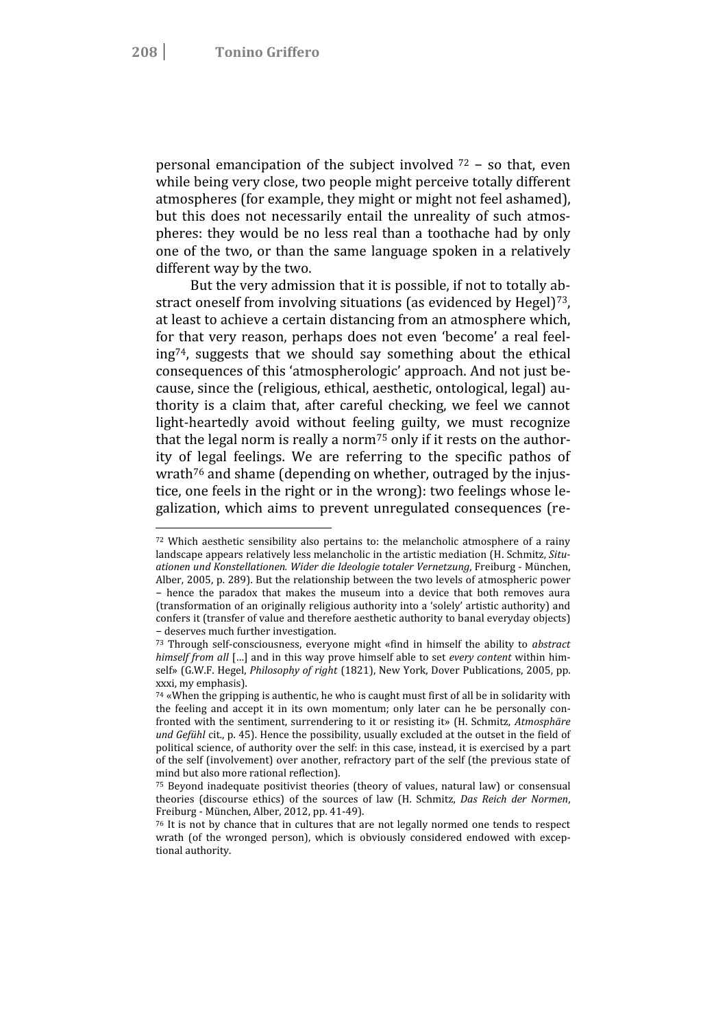personal emancipation of the subject involved <sup>72</sup> − so that, even while being very close, two people might perceive totally different atmospheres (for example, they might or might not feel ashamed), but this does not necessarily entail the unreality of such atmospheres: they would be no less real than a toothache had by only one of the two, or than the same language spoken in a relatively different way by the two.

But the very admission that it is possible, if not to totally abstract oneself from involving situations (as evidenced by Hegel)<sup>73</sup>, at least to achieve a certain distancing from an atmosphere which, for that very reason, perhaps does not even 'become' a real feeling<sup>74</sup>, suggests that we should say something about the ethical consequences of this 'atmospherologic' approach. And not just because, since the (religious, ethical, aesthetic, ontological, legal) authority is a claim that, after careful checking, we feel we cannot light-heartedly avoid without feeling guilty, we must recognize that the legal norm is really a norm<sup>75</sup> only if it rests on the authority of legal feelings. We are referring to the specific pathos of wrath<sup>76</sup> and shame (depending on whether, outraged by the injustice, one feels in the right or in the wrong): two feelings whose legalization, which aims to prevent unregulated consequences (re-

 $72$  Which aesthetic sensibility also pertains to: the melancholic atmosphere of a rainy landscape appears relatively less melancholic in the artistic mediation (H. Schmitz, *Situ*landscape appears relatively less melancholic in the artistic mediation (H. Schmitz, *Situationen und Konstellationen. Wider die Ideologie totaler Vernetzung*, Freiburg - München, Alber, 2005, p. 289). But the relationship Alber, 2005, p. 289). But the relationship between the two levels of atmospheric power - hence the paradox that makes the museum into a device that both removes aura (transformation of an originally religious authority into a 'solely' artistic authority) and confers it (transfer of value and therefore aesthetic authority to banal everyday objects) − deserves much further investigation.

<sup>73</sup> Through self-consciousness, everyone might «find in himself the ability to *abstract himself from all* […] and in this way prove himself able to set *every content* within him self» (G.W.F. Hegel, *Philosophy of right* (1821), New York, Dover Publications, 2005, pp. xxxi, my emphasis).

 $74$  «When the gripping is authentic, he who is caught must first of all be in solidarity with the feeling and accept it in its own momentum; only later can he be personally confronted with the sentiment, surrendering to it or resisting it» (H. Schmitz, *Atmosphäre und Gefühl* cit., p. 45). Hence the possibility, usually excluded at the outset in the field of political science, of authority over the self: in this case, instead, it is exercised by a part of the self (involvement) over another, refractory part of the self (the previous state of mind but also more rational reflection).

<sup>75</sup> Beyond inadequate positivist theories (theory of values, natural law) or consensual theories (discourse ethics) of the sources of law (H. Schmitz, *Das Reich der Normen*, Freiburg - München, Alber, 2012, pp. 41-49).

<sup>76</sup> It is not by chance that in cultures that are not legally normed one tends to respect wrath (of the wronged person), which is obviously considered endowed with exceptional authority.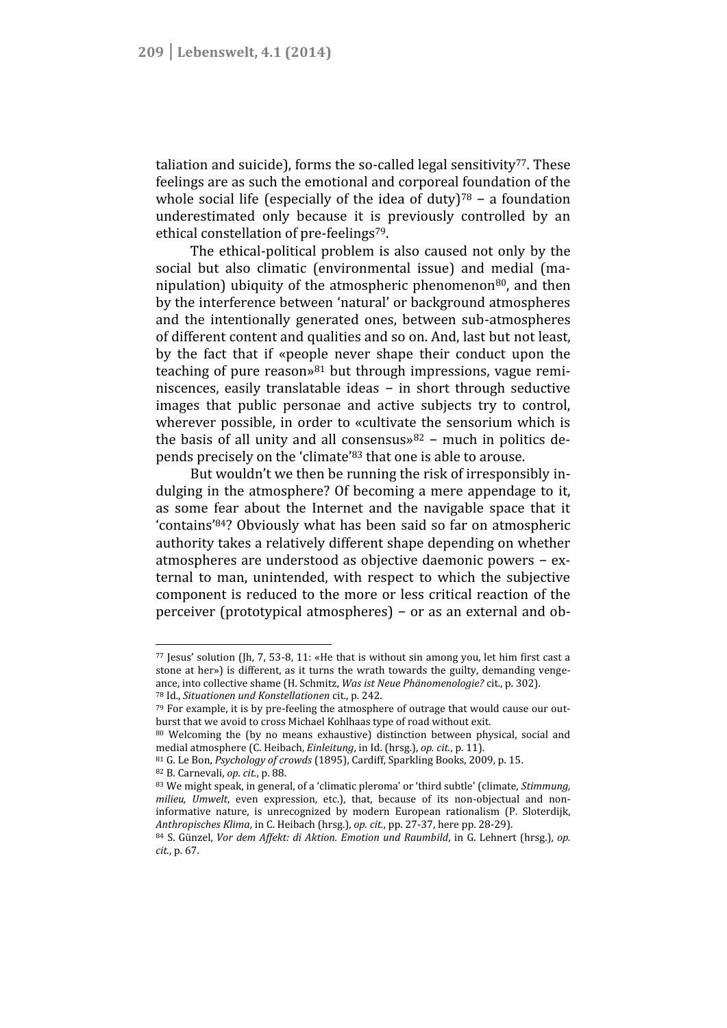taliation and suicide), forms the so-called legal sensitivity<sup>77</sup>. These feelings are as such the emotional and corporeal foundation of the whole social life (especially of the idea of duty)<sup>78</sup> – a foundation underestimated only because it is previously controlled by an ethical constellation of pre-feelings<sup>79</sup>.

The ethical-political problem is also caused not only by the social but also climatic (environmental issue) and medial (manipulation) ubiquity of the atmospheric phenomenon<sup>80</sup>, and then by the interference between 'natural' or background atmospheres and the intentionally generated ones, between sub-atmospheres of different content and qualities and so on. And, last but not least, by the fact that if «people never shape their conduct upon the teaching of pure reason»<sup>81</sup> but through impressions, vague reminiscences, easily translatable ideas − in short through seductive images that public personae and active subjects try to control, wherever possible, in order to «cultivate the sensorium which is the basis of all unity and all consensus» $82$  – much in politics depends precisely on the 'climate'<sup>83</sup> that one is able to arouse.

But wouldn't we then be running the risk of irresponsibly in dulging in the atmosphere? Of becoming a mere appendage to it, as some fear about the Internet and the navigable space that it 'contains'<sup>84</sup>? Obviously what has been said so far on atmospheric authority takes a relatively different shape depending on whether atmospheres are understood as objective daemonic powers − external to man, unintended, with respect to which the subjective component is reduced to the more or less critical reaction of the perceiver (prototypical atmospheres) – or as an external and ob-

<sup>78</sup> Id., *Situationen und Konstellationen* cit., p. 242.

<sup>77</sup> Jesus' solution (Jh, 7, 53-8, 11: «He that is without sin among you, let him first cast a stone at her») is different, as it turns the wrath towards the guilty, demanding venge ance, into collective shame (H. Schmitz, *Was ist Neue Phänomenologie?* cit., p. 302).

<sup>&</sup>lt;sup>79</sup> For example, it is by pre-feeling the atmosphere of outrage that would cause our outburst that we avoid to cross Michael Kohlhaas type of road without exit.

<sup>80</sup> Welcoming the (by no means exhaustive) distinction between physical, social and medial atmosphere (C. Heibach, *Einleitung*, in Id. (hrsg.), *op. cit.*, p. 11).

<sup>81</sup> G. Le Bon, *Psychology of crowds* (1895), Cardiff, Sparkling Books, 2009, p. 15.

<sup>82</sup> B. Carnevali, *op. cit.*, p. 88.

<sup>83</sup> We might speak, in general, of a 'climatic pleroma' or 'third subtle' (climate, *Stimmung, milieu, Umwelt*, even expression, etc.), that, because of its non-objectual and noninformative nature, is unrecognized by modern European rationalism (P. Sloterdijk, *Anthropisches Klima*, in C. Heibach (hrsg.), *op. cit.*, pp. 27-37, here pp. 28-29).

<sup>84</sup> S. Günzel, *Vor dem Affekt: di Aktion. Emotion und Raumbild*, in G. Lehnert (hrsg.), *op. cit.*, p. 67.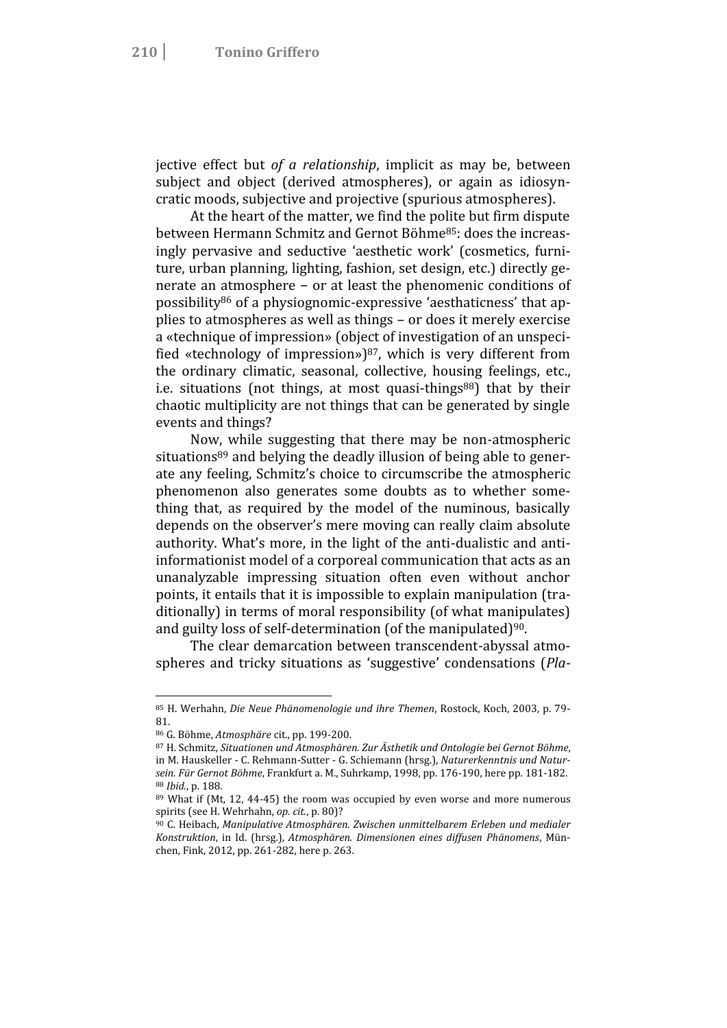jective effect but *of a relationship*, implicit as may be, between subject and object (derived atmospheres), or again as idiosyncratic moods, subjective and projective (spurious atmospheres).

At the heart of the matter, we find the polite but firm dispute between Hermann Schmitz and Gernot Böhme85: does the increasingly pervasive and seductive 'aesthetic work' (cosmetics, furniture, urban planning, lighting, fashion, set design, etc.) directly ge nerate an atmosphere − or at least the phenomenic conditions of possibility<sup>86</sup> of a physiognomic-expressive 'aesthaticness' that applies to atmospheres as well as things – or does it merely exercise a «technique of impression» (object of investigation of an unspecified «technology of impression») <sup>87</sup>, which is very different from the ordinary climatic, seasonal, collective, housing feelings, etc., i.e. situations (not things, at most quasi-things $88$ ) that by their chaotic multiplicity are not things that can be generated by single events and things?

Now, while suggesting that there may be non-atmospheric situations<sup>89</sup> and belying the deadly illusion of being able to generate any feeling, Schmitz's choice to circumscribe the atmospheric phenomenon also generates some doubts as to whether something that, as required by the model of the numinous, basically depends on the observer's mere moving can really claim absolute authority. What's more, in the light of the anti-dualistic and antiinformationist model of a corporeal communication that acts as an unanalyzable impressing situation often even without anchor points, it entails that it is impossible to explain manipulation (traditionally) in terms of moral responsibility (of what manipulates) and guilty loss of self-determination (of the manipulated)<sup>90</sup>.

The clear demarcation between transcendent-abyssal atmo spheres and tricky situations as 'suggestive' condensations (*Pla-*

<sup>85</sup> H. Werhahn, *Die Neue Phänomenologie und ihre Themen*, Rostock, Koch, 2003, p. 79- 81.

<sup>86</sup> G. Böhme, *Atmosphäre* cit., pp. 199-200.

<sup>87</sup> H. Schmitz, *Situationen und Atmosphären. Zur Ästhetik und Ontologie bei Gernot Böhme*, in M. Hauskeller -C. Rehmann-Sutter -G. Schiemann (hrsg.), *Naturerkenntnis und Natur- sein. Für Gernot Böhme*, Frankfurt a. M., Suhrkamp, 1998, pp. 176-190, here pp. 181-182. <sup>88</sup> *Ibid.*, p. 188.

 $89$  What if (Mt, 12, 44-45) the room was occupied by even worse and more numerous spirits (see H. Wehrhahn, *op. cit.*, p. 80)?

<sup>90</sup> C. Heibach, *Manipulative Atmosphären. Zwischen unmittelbarem Erleben und medialer Konstruktion*, in Id. (hrsg.), *Atmosphären. Dimensionen eines diffusen Phänomens*, Mün chen, Fink, 2012, pp. 261-282, here p. 263.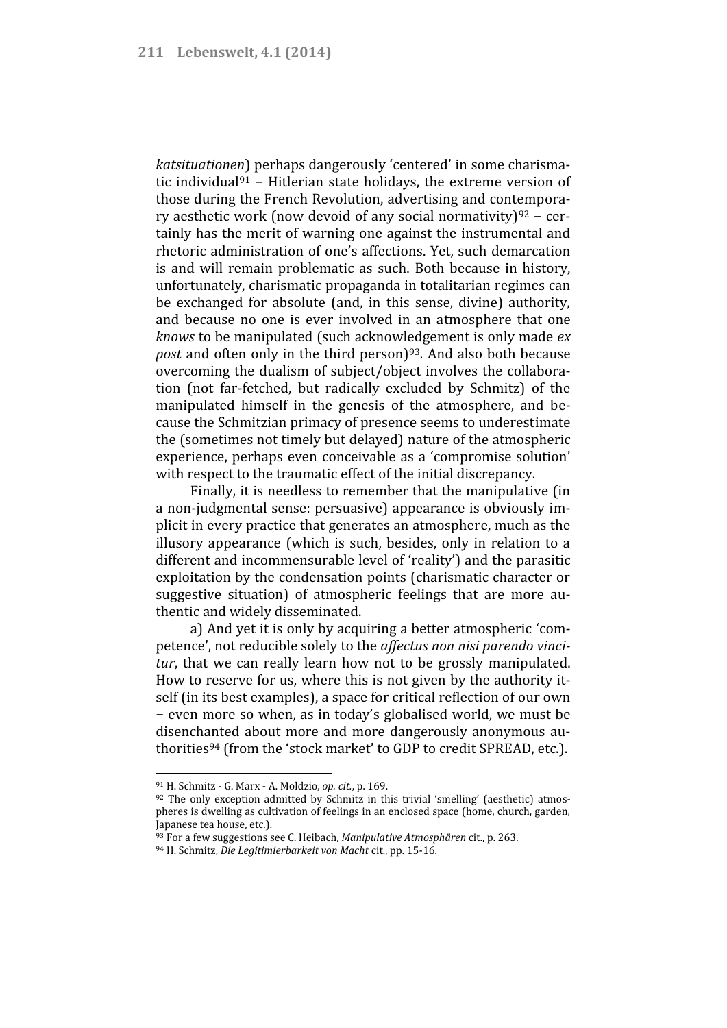*katsituationen*) perhaps dangerously 'centered' in some charisma tic individual<sup>91</sup> − Hitlerian state holidays, the extreme version of those during the French Revolution, advertising and contempora ry aesthetic work (now devoid of any social normativity) $92 -$  certainly has the merit of warning one against the instrumental and rhetoric administration of one's affections. Yet, such demarcation is and will remain problematic as such. Both because in history, unfortunately, charismatic propaganda in totalitarian regimes can be exchanged for absolute (and, in this sense, divine) authority, and because no one is ever involved in an atmosphere that one *knows* to be manipulated (such acknowledgement is only made *ex post* and often only in the third person<sup>93</sup>. And also both because overcoming the dualism of subject/object involves the collaboration (not far-fetched, but radically excluded by Schmitz) of the manipulated himself in the genesis of the atmosphere, and because the Schmitzian primacy of presence seems to underestimate the (sometimes not timely but delayed) nature of the atmospheric experience, perhaps even conceivable as a 'compromise solution' with respect to the traumatic effect of the initial discrepancy.

Finally, it is needless to remember that the manipulative (in a non-judgmental sense: persuasive) appearance is obviously implicit in every practice that generates an atmosphere, much as the illusory appearance (which is such, besides, only in relation to a different and incommensurable level of 'reality') and the parasitic exploitation by the condensation points (charismatic character or suggestive situation) of atmospheric feelings that are more authentic and widely disseminated.

a) And yet it is only by acquiring a better atmospheric 'competence', not reducible solely to the *affectus non nisi parendo vincitur*, that we can really learn how not to be grossly manipulated. How to reserve for us, where this is not given by the authority itself (in its best examples), a space for critical reflection of our own − even more so when, as in today's globalised world, we must be disenchanted about more and more dangerously anonymous authorities<sup>94</sup> (from the 'stock market' to GDP to credit SPREAD, etc.).

<sup>91</sup> H. Schmitz - G. Marx - A. Moldzio, *op. cit.*, p. 169.

 $92$  The only exception admitted by Schmitz in this trivial 'smelling' (aesthetic) atmospheres is dwelling as cultivation of feelings in an enclosed space (home, church, garden, Japanese tea house, etc.).

<sup>93</sup> For a few suggestions see C. Heibach, *Manipulative Atmosphären* cit., p. 263.

<sup>94</sup> H. Schmitz, *Die Legitimierbarkeit von Macht* cit., pp. 15-16.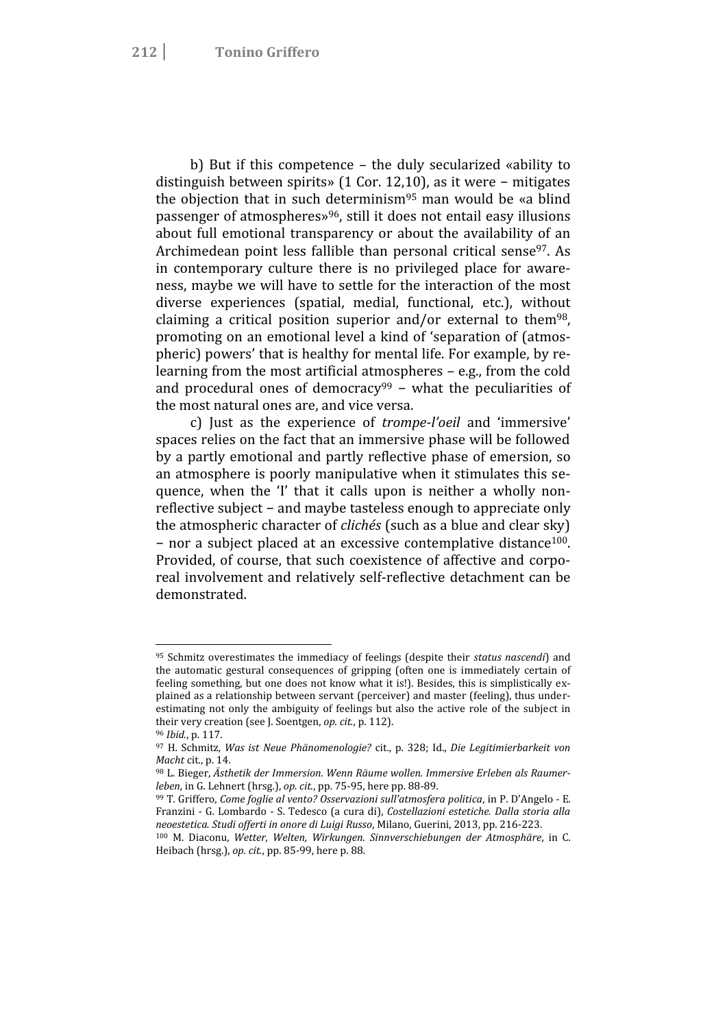b) But if this competence – the duly secularized «ability to distinguish between spirits» (1 Cor. 12,10), as it were − mitigates the objection that in such determinism<sup>95</sup> man would be «a blind passenger of atmospheres» <sup>96</sup>, still it does not entail easy illusions about full emotional transparency or about the availability of an Archimedean point less fallible than personal critical sense<sup>97</sup>. As in contemporary culture there is no privileged place for awareness, maybe we will have to settle for the interaction of the most diverse experiences (spatial, medial, functional, etc.), without claiming a critical position superior and/or external to them<sup>98</sup>, promoting on an emotional level a kind of 'separation of (atmospheric) powers' that is healthy for mental life. For example, by relearning from the most artificial atmospheres – e.g., from the cold and procedural ones of democracy<sup>99</sup> – what the peculiarities of the most natural ones are, and vice versa.

c) Just as the experience of *trompe-l'oeil* and 'immersive' spaces relies on the fact that an immersive phase will be followed by a partly emotional and partly reflective phase of emersion, so an atmosphere is poorly manipulative when it stimulates this sequence, when the 'I' that it calls upon is neither a wholly non reflective subject − and maybe tasteless enough to appreciate only the atmospheric character of *clichés* (such as a blue and clear sky) − nor a subject placed at an excessive contemplative distance<sup>100</sup>. Provided, of course, that such coexistence of affective and corporeal involvement and relatively self-reflective detachment can be demonstrated.

<sup>95</sup> Schmitz overestimates the immediacy of feelings (despite their *status nascendi*) and the automatic gestural consequences of gripping (often one is immediately certain of feeling something, but one does not know what it is!). Besides, this is simplistically ex plained as a relationship between servant (perceiver) and master (feeling), thus under estimating not only the ambiguity of feelings but also the active role of the subject in their very creation (see J. Soentgen, *op. cit.*, p. 112).

<sup>96</sup> *Ibid.*, p. 117.

<sup>97</sup> H. Schmitz, *Was ist Neue Phänomenologie?* cit., p. 328; Id., *Die Legitimierbarkeit von Macht* cit., p. 14.

<sup>98</sup> L. Bieger, *Ästhetik der Immersion. Wenn Räume wollen. Immersive Erleben als Raumerleben*, in G. Lehnert (hrsg.), *op. cit.*, pp. 75-95, here pp. 88-89.

<sup>99</sup> T. Griffero, *Come foglie al vento? Osservazioni sull'atmosfera politica*, in P. D'Angelo - E. Franzini - G. Lombardo - S. Tedesco (a cura di), *Costellazioni estetiche. Dalla storia alla neoestetica. Studi offerti in onore di Luigi Russo*, Milano, Guerini, 2013, pp. 216-223.

<sup>100</sup> M. Diaconu, *Wetter, Welten, Wirkungen. Sinnverschiebungen der Atmosphäre*, in C. Heibach (hrsg.), *op. cit.*, pp. 85-99, here p. 88.